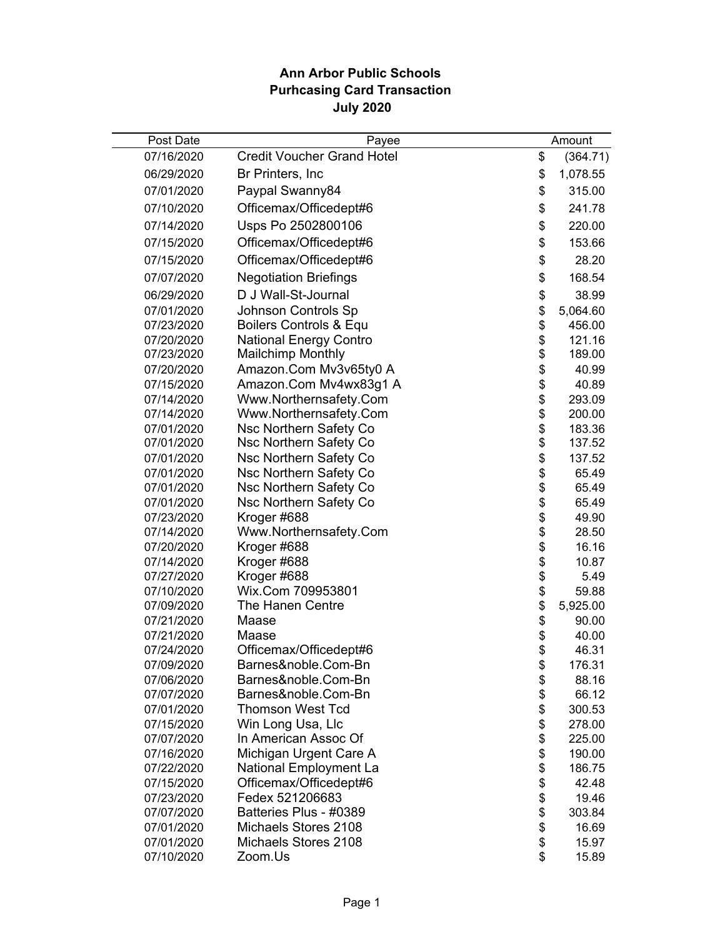## **Ann Arbor Public Schools Purhcasing Card Transaction July 2020**

| Post Date<br>Payee                                                             |          | Amount           |
|--------------------------------------------------------------------------------|----------|------------------|
| <b>Credit Voucher Grand Hotel</b><br>07/16/2020                                | \$       | (364.71)         |
| 06/29/2020<br>Br Printers, Inc                                                 | \$       | 1,078.55         |
| 07/01/2020<br>Paypal Swanny84                                                  | \$       | 315.00           |
| Officemax/Officedept#6<br>07/10/2020                                           | \$       | 241.78           |
| Usps Po 2502800106<br>07/14/2020                                               | \$       | 220.00           |
| 07/15/2020<br>Officemax/Officedept#6                                           | \$       | 153.66           |
| Officemax/Officedept#6<br>07/15/2020                                           | \$       | 28.20            |
|                                                                                |          |                  |
| <b>Negotiation Briefings</b><br>07/07/2020                                     | \$       | 168.54           |
| D J Wall-St-Journal<br>06/29/2020                                              | \$       | 38.99            |
| <b>Johnson Controls Sp</b><br>07/01/2020                                       | \$       | 5,064.60         |
| Boilers Controls & Equ<br>07/23/2020                                           | \$       | 456.00           |
| <b>National Energy Contro</b><br>07/20/2020                                    | \$<br>\$ | 121.16<br>189.00 |
| <b>Mailchimp Monthly</b><br>07/23/2020<br>Amazon.Com Mv3v65ty0 A<br>07/20/2020 | \$       | 40.99            |
| Amazon.Com Mv4wx83g1 A<br>07/15/2020                                           | \$       | 40.89            |
| Www.Northernsafety.Com<br>07/14/2020                                           |          | 293.09           |
| Www.Northernsafety.Com<br>07/14/2020                                           | \$       | 200.00           |
| Nsc Northern Safety Co<br>07/01/2020                                           | \$       | 183.36           |
| Nsc Northern Safety Co<br>07/01/2020                                           | \$       | 137.52           |
| Nsc Northern Safety Co<br>07/01/2020                                           | \$       | 137.52           |
| Nsc Northern Safety Co<br>07/01/2020                                           | \$       | 65.49            |
| Nsc Northern Safety Co<br>07/01/2020                                           | \$       | 65.49            |
| Nsc Northern Safety Co<br>07/01/2020                                           | \$       | 65.49            |
| Kroger #688<br>07/23/2020                                                      | \$       | 49.90            |
| Www.Northernsafety.Com<br>07/14/2020                                           | \$       | 28.50            |
| Kroger #688<br>07/20/2020                                                      | \$       | 16.16            |
| Kroger #688<br>07/14/2020                                                      | \$       | 10.87            |
| Kroger #688<br>07/27/2020                                                      | \$       | 5.49             |
| Wix.Com 709953801<br>07/10/2020                                                | \$       | 59.88            |
| The Hanen Centre<br>07/09/2020                                                 | \$       | 5,925.00         |
| 07/21/2020<br>Maase                                                            | \$       | 90.00            |
| 07/21/2020<br>Maase                                                            | \$       | 40.00            |
| Officemax/Officedept#6<br>07/24/2020                                           | \$       | 46.31            |
| Barnes&noble.Com-Bn<br>07/09/2020                                              | \$       | 176.31           |
| Barnes&noble.Com-Bn<br>07/06/2020                                              | \$       | 88.16            |
| Barnes&noble.Com-Bn<br>07/07/2020                                              | \$       | 66.12            |
| <b>Thomson West Tcd</b><br>07/01/2020                                          | \$       | 300.53           |
| Win Long Usa, Llc<br>07/15/2020                                                | \$       | 278.00           |
| In American Assoc Of<br>07/07/2020                                             | \$       | 225.00           |
| Michigan Urgent Care A<br>07/16/2020                                           | \$       | 190.00           |
| National Employment La<br>07/22/2020<br>Officemax/Officedept#6                 | \$<br>\$ | 186.75           |
| 07/15/2020<br>Fedex 521206683                                                  |          | 42.48<br>19.46   |
| 07/23/2020<br>Batteries Plus - #0389<br>07/07/2020                             | \$<br>\$ | 303.84           |
| Michaels Stores 2108<br>07/01/2020                                             | \$       | 16.69            |
| Michaels Stores 2108<br>07/01/2020                                             | \$       | 15.97            |
| 07/10/2020<br>Zoom.Us                                                          | \$       | 15.89            |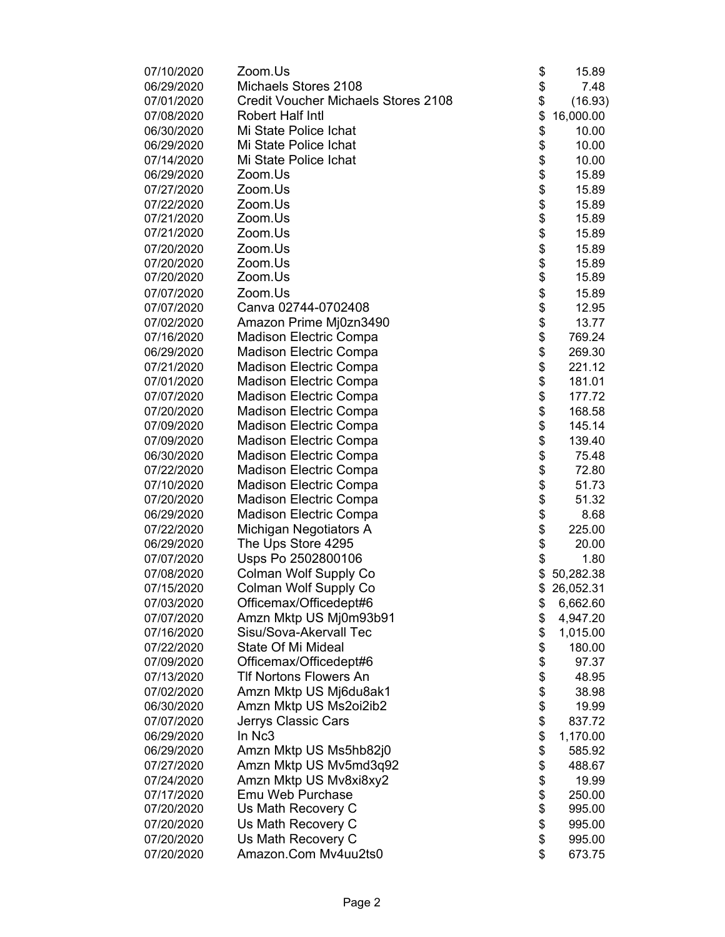| 07/10/2020 | Zoom.Us                                    | \$       | 15.89     |
|------------|--------------------------------------------|----------|-----------|
| 06/29/2020 | Michaels Stores 2108                       | \$       | 7.48      |
| 07/01/2020 | <b>Credit Voucher Michaels Stores 2108</b> | \$       | (16.93)   |
| 07/08/2020 | Robert Half Intl                           | \$       | 16,000.00 |
| 06/30/2020 | Mi State Police Ichat                      | \$       | 10.00     |
| 06/29/2020 | Mi State Police Ichat                      | \$       | 10.00     |
| 07/14/2020 | Mi State Police Ichat                      |          | 10.00     |
| 06/29/2020 | Zoom.Us                                    | \$<br>\$ | 15.89     |
| 07/27/2020 | Zoom.Us                                    | \$       | 15.89     |
| 07/22/2020 | Zoom.Us                                    |          | 15.89     |
| 07/21/2020 | Zoom.Us                                    | \$       | 15.89     |
| 07/21/2020 | Zoom.Us                                    | \$       | 15.89     |
| 07/20/2020 | Zoom.Us                                    | \$       | 15.89     |
| 07/20/2020 | Zoom.Us                                    | \$       | 15.89     |
| 07/20/2020 | Zoom.Us                                    | \$       | 15.89     |
| 07/07/2020 | Zoom.Us                                    | \$       | 15.89     |
| 07/07/2020 | Canva 02744-0702408                        | \$       | 12.95     |
| 07/02/2020 |                                            | \$       |           |
|            | Amazon Prime Mj0zn3490                     |          | 13.77     |
| 07/16/2020 | <b>Madison Electric Compa</b>              | \$       | 769.24    |
| 06/29/2020 | <b>Madison Electric Compa</b>              | \$       | 269.30    |
| 07/21/2020 | <b>Madison Electric Compa</b>              | \$       | 221.12    |
| 07/01/2020 | <b>Madison Electric Compa</b>              | \$       | 181.01    |
| 07/07/2020 | Madison Electric Compa                     | \$       | 177.72    |
| 07/20/2020 | <b>Madison Electric Compa</b>              | \$       | 168.58    |
| 07/09/2020 | <b>Madison Electric Compa</b>              | \$       | 145.14    |
| 07/09/2020 | <b>Madison Electric Compa</b>              | \$       | 139.40    |
| 06/30/2020 | <b>Madison Electric Compa</b>              | \$       | 75.48     |
| 07/22/2020 | <b>Madison Electric Compa</b>              | \$       | 72.80     |
| 07/10/2020 | <b>Madison Electric Compa</b>              | \$       | 51.73     |
| 07/20/2020 | <b>Madison Electric Compa</b>              | \$       | 51.32     |
| 06/29/2020 | <b>Madison Electric Compa</b>              | \$       | 8.68      |
| 07/22/2020 | Michigan Negotiators A                     | \$       | 225.00    |
| 06/29/2020 | The Ups Store 4295                         | \$       | 20.00     |
| 07/07/2020 | Usps Po 2502800106                         | \$       | 1.80      |
| 07/08/2020 | Colman Wolf Supply Co                      | \$       | 50,282.38 |
| 07/15/2020 | Colman Wolf Supply Co                      | \$       | 26,052.31 |
| 07/03/2020 | Officemax/Officedept#6                     | \$       | 6,662.60  |
| 07/07/2020 | Amzn Mktp US Mj0m93b91                     | \$       | 4,947.20  |
| 07/16/2020 | Sisu/Sova-Akervall Tec                     | \$       | 1,015.00  |
| 07/22/2020 | State Of Mi Mideal                         | \$       | 180.00    |
| 07/09/2020 | Officemax/Officedept#6                     | \$       | 97.37     |
| 07/13/2020 | <b>TIf Nortons Flowers An</b>              | \$       | 48.95     |
| 07/02/2020 | Amzn Mktp US Mj6du8ak1                     | \$       | 38.98     |
| 06/30/2020 | Amzn Mktp US Ms2oi2ib2                     | \$       | 19.99     |
| 07/07/2020 | Jerrys Classic Cars                        | \$       | 837.72    |
| 06/29/2020 | In Nc3                                     | \$       | 1,170.00  |
| 06/29/2020 | Amzn Mktp US Ms5hb82j0                     | \$       | 585.92    |
| 07/27/2020 | Amzn Mktp US Mv5md3q92                     | \$       | 488.67    |
| 07/24/2020 | Amzn Mktp US Mv8xi8xy2                     | \$       | 19.99     |
| 07/17/2020 | Emu Web Purchase                           | \$       | 250.00    |
| 07/20/2020 | Us Math Recovery C                         | \$       | 995.00    |
| 07/20/2020 | Us Math Recovery C                         | \$       | 995.00    |
| 07/20/2020 | Us Math Recovery C                         | \$       | 995.00    |
| 07/20/2020 | Amazon.Com Mv4uu2ts0                       | \$       | 673.75    |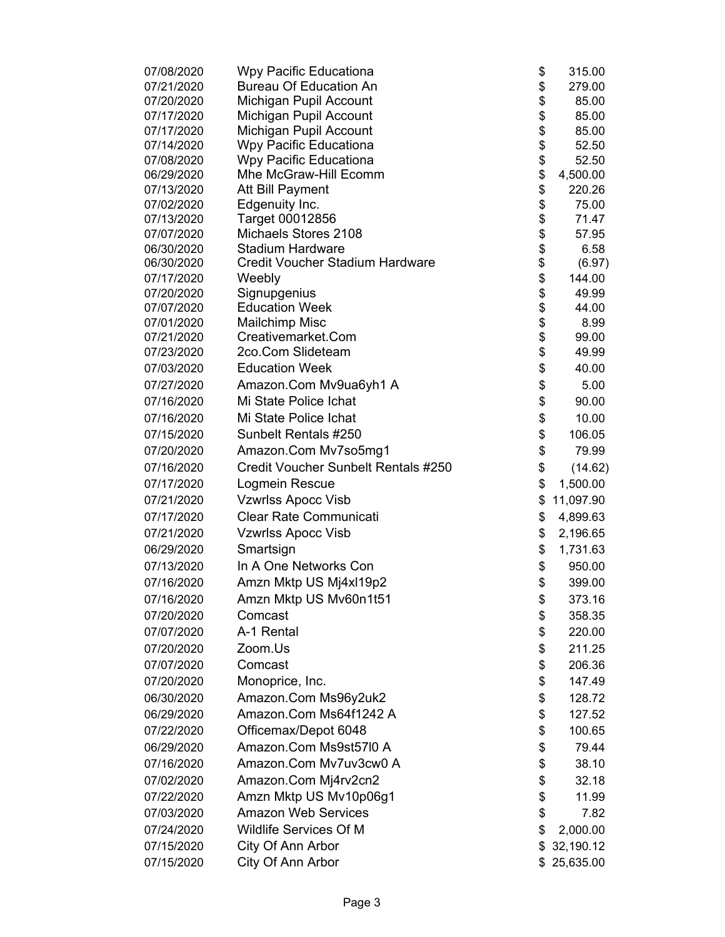| 07/08/2020               | Wpy Pacific Educationa                          | \$       | 315.00        |
|--------------------------|-------------------------------------------------|----------|---------------|
| 07/21/2020               | <b>Bureau Of Education An</b>                   | \$       | 279.00        |
| 07/20/2020               | Michigan Pupil Account                          | \$       | 85.00         |
| 07/17/2020               | Michigan Pupil Account                          | \$       | 85.00         |
| 07/17/2020               | Michigan Pupil Account                          | \$       | 85.00         |
| 07/14/2020               | Wpy Pacific Educationa                          | \$       | 52.50         |
| 07/08/2020               | Wpy Pacific Educationa                          | \$       | 52.50         |
| 06/29/2020               | Mhe McGraw-Hill Ecomm                           | \$       | 4,500.00      |
| 07/13/2020               | Att Bill Payment                                | \$       | 220.26        |
| 07/02/2020               | Edgenuity Inc.                                  | \$       | 75.00         |
| 07/13/2020               | Target 00012856                                 | \$       | 71.47         |
| 07/07/2020               | Michaels Stores 2108<br><b>Stadium Hardware</b> | \$<br>\$ | 57.95<br>6.58 |
| 06/30/2020<br>06/30/2020 | <b>Credit Voucher Stadium Hardware</b>          | \$       | (6.97)        |
| 07/17/2020               | Weebly                                          | \$       | 144.00        |
| 07/20/2020               | Signupgenius                                    | \$       | 49.99         |
| 07/07/2020               | <b>Education Week</b>                           | \$       | 44.00         |
| 07/01/2020               | Mailchimp Misc                                  | \$       | 8.99          |
| 07/21/2020               | Creativemarket.Com                              | \$       | 99.00         |
| 07/23/2020               | 2co.Com Slideteam                               | \$       | 49.99         |
| 07/03/2020               | <b>Education Week</b>                           | \$       | 40.00         |
| 07/27/2020               | Amazon.Com Mv9ua6yh1 A                          | \$       | 5.00          |
| 07/16/2020               | Mi State Police Ichat                           | \$       | 90.00         |
| 07/16/2020               | Mi State Police Ichat                           | \$       | 10.00         |
| 07/15/2020               | Sunbelt Rentals #250                            | \$       | 106.05        |
| 07/20/2020               | Amazon.Com Mv7so5mg1                            | \$       | 79.99         |
| 07/16/2020               | Credit Voucher Sunbelt Rentals #250             | \$       | (14.62)       |
| 07/17/2020               | Logmein Rescue                                  | \$       | 1,500.00      |
| 07/21/2020               | <b>Vzwrlss Apocc Visb</b>                       | \$       | 11,097.90     |
| 07/17/2020               | <b>Clear Rate Communicati</b>                   | \$       | 4,899.63      |
| 07/21/2020               | <b>Vzwrlss Apocc Visb</b>                       | \$       | 2,196.65      |
| 06/29/2020               | Smartsign                                       | \$       | 1,731.63      |
| 07/13/2020               | In A One Networks Con                           | \$       | 950.00        |
| 07/16/2020               | Amzn Mktp US Mj4xl19p2                          |          |               |
| 07/16/2020               | Amzn Mktp US Mv60n1t51                          | \$       | 399.00        |
|                          |                                                 | \$       | 373.16        |
| 07/20/2020               | Comcast                                         | \$       | 358.35        |
| 07/07/2020               | A-1 Rental                                      | \$       | 220.00        |
| 07/20/2020               | Zoom.Us                                         | \$       | 211.25        |
| 07/07/2020               | Comcast                                         | \$       | 206.36        |
| 07/20/2020               | Monoprice, Inc.                                 | \$       | 147.49        |
| 06/30/2020               | Amazon.Com Ms96y2uk2                            | \$       | 128.72        |
| 06/29/2020               | Amazon.Com Ms64f1242 A                          | \$       | 127.52        |
| 07/22/2020               | Officemax/Depot 6048                            | \$       | 100.65        |
| 06/29/2020               | Amazon.Com Ms9st57l0 A                          | \$       | 79.44         |
| 07/16/2020               | Amazon.Com Mv7uv3cw0 A                          | \$       | 38.10         |
| 07/02/2020               | Amazon.Com Mj4rv2cn2                            | \$       | 32.18         |
| 07/22/2020               | Amzn Mktp US Mv10p06g1                          | \$       | 11.99         |
| 07/03/2020               | <b>Amazon Web Services</b>                      | \$       | 7.82          |
| 07/24/2020               | <b>Wildlife Services Of M</b>                   | \$       | 2,000.00      |
| 07/15/2020               | City Of Ann Arbor                               | \$       | 32,190.12     |
| 07/15/2020               | City Of Ann Arbor                               | \$       | 25,635.00     |